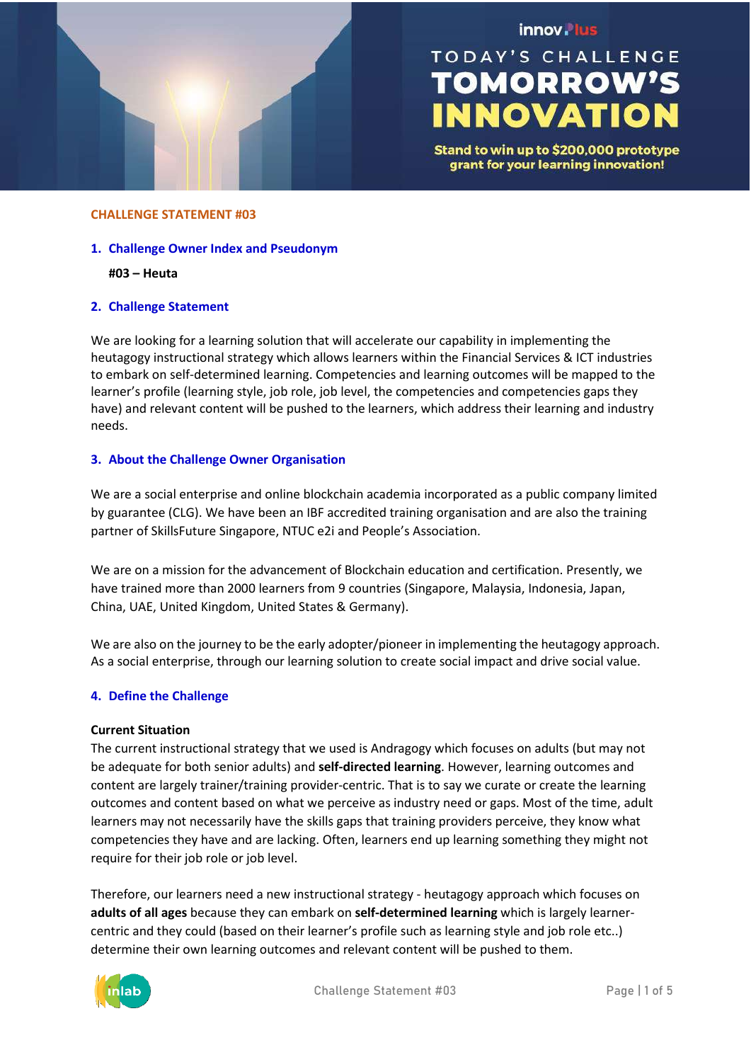

# innov. lus

# **TODAY'S CHALLENGE TOMORROW'S INNOVATION**

Stand to win up to \$200,000 prototype grant for your learning innovation!

#### **CHALLENGE STATEMENT #03**

#### **1. Challenge Owner Index and Pseudonym**

#### **#03 – Heuta**

# **2. Challenge Statement**

We are looking for a learning solution that will accelerate our capability in implementing the heutagogy instructional strategy which allows learners within the Financial Services & ICT industries to embark on self-determined learning. Competencies and learning outcomes will be mapped to the learner's profile (learning style, job role, job level, the competencies and competencies gaps they have) and relevant content will be pushed to the learners, which address their learning and industry needs.

# **3. About the Challenge Owner Organisation**

We are a social enterprise and online blockchain academia incorporated as a public company limited by guarantee (CLG). We have been an IBF accredited training organisation and are also the training partner of SkillsFuture Singapore, NTUC e2i and People's Association.

We are on a mission for the advancement of Blockchain education and certification. Presently, we have trained more than 2000 learners from 9 countries (Singapore, Malaysia, Indonesia, Japan, China, UAE, United Kingdom, United States & Germany).

We are also on the journey to be the early adopter/pioneer in implementing the heutagogy approach. As a social enterprise, through our learning solution to create social impact and drive social value.

# **4. Define the Challenge**

# **Current Situation**

The current instructional strategy that we used is Andragogy which focuses on adults (but may not be adequate for both senior adults) and **self-directed learning**. However, learning outcomes and content are largely trainer/training provider-centric. That is to say we curate or create the learning outcomes and content based on what we perceive as industry need or gaps. Most of the time, adult learners may not necessarily have the skills gaps that training providers perceive, they know what competencies they have and are lacking. Often, learners end up learning something they might not require for their job role or job level.

Therefore, our learners need a new instructional strategy - heutagogy approach which focuses on **adults of all ages** because they can embark on **self-determined learning** which is largely learnercentric and they could (based on their learner's profile such as learning style and job role etc..) determine their own learning outcomes and relevant content will be pushed to them.

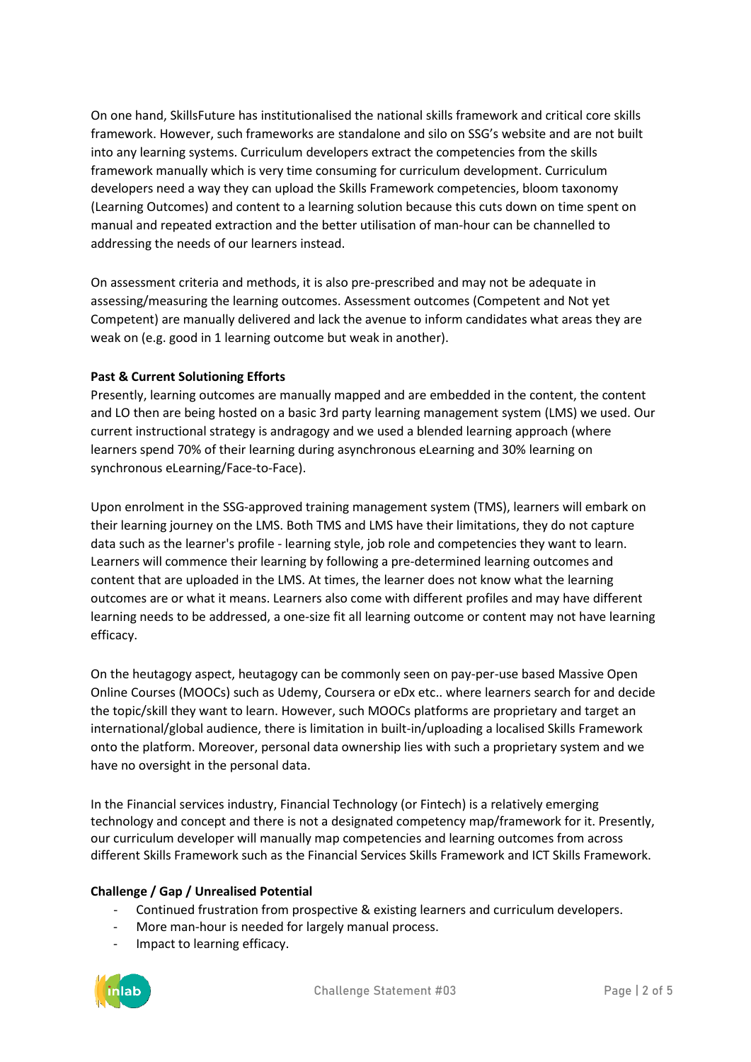On one hand, SkillsFuture has institutionalised the national skills framework and critical core skills framework. However, such frameworks are standalone and silo on SSG's website and are not built into any learning systems. Curriculum developers extract the competencies from the skills framework manually which is very time consuming for curriculum development. Curriculum developers need a way they can upload the Skills Framework competencies, bloom taxonomy (Learning Outcomes) and content to a learning solution because this cuts down on time spent on manual and repeated extraction and the better utilisation of man-hour can be channelled to addressing the needs of our learners instead.

On assessment criteria and methods, it is also pre-prescribed and may not be adequate in assessing/measuring the learning outcomes. Assessment outcomes (Competent and Not yet Competent) are manually delivered and lack the avenue to inform candidates what areas they are weak on (e.g. good in 1 learning outcome but weak in another).

# **Past & Current Solutioning Efforts**

Presently, learning outcomes are manually mapped and are embedded in the content, the content and LO then are being hosted on a basic 3rd party learning management system (LMS) we used. Our current instructional strategy is andragogy and we used a blended learning approach (where learners spend 70% of their learning during asynchronous eLearning and 30% learning on synchronous eLearning/Face-to-Face).

Upon enrolment in the SSG-approved training management system (TMS), learners will embark on their learning journey on the LMS. Both TMS and LMS have their limitations, they do not capture data such as the learner's profile - learning style, job role and competencies they want to learn. Learners will commence their learning by following a pre-determined learning outcomes and content that are uploaded in the LMS. At times, the learner does not know what the learning outcomes are or what it means. Learners also come with different profiles and may have different learning needs to be addressed, a one-size fit all learning outcome or content may not have learning efficacy.

On the heutagogy aspect, heutagogy can be commonly seen on pay-per-use based Massive Open Online Courses (MOOCs) such as Udemy, Coursera or eDx etc.. where learners search for and decide the topic/skill they want to learn. However, such MOOCs platforms are proprietary and target an international/global audience, there is limitation in built-in/uploading a localised Skills Framework onto the platform. Moreover, personal data ownership lies with such a proprietary system and we have no oversight in the personal data.

In the Financial services industry, Financial Technology (or Fintech) is a relatively emerging technology and concept and there is not a designated competency map/framework for it. Presently, our curriculum developer will manually map competencies and learning outcomes from across different Skills Framework such as the Financial Services Skills Framework and ICT Skills Framework.

# **Challenge / Gap / Unrealised Potential**

- Continued frustration from prospective & existing learners and curriculum developers.
- More man-hour is needed for largely manual process.
- Impact to learning efficacy.

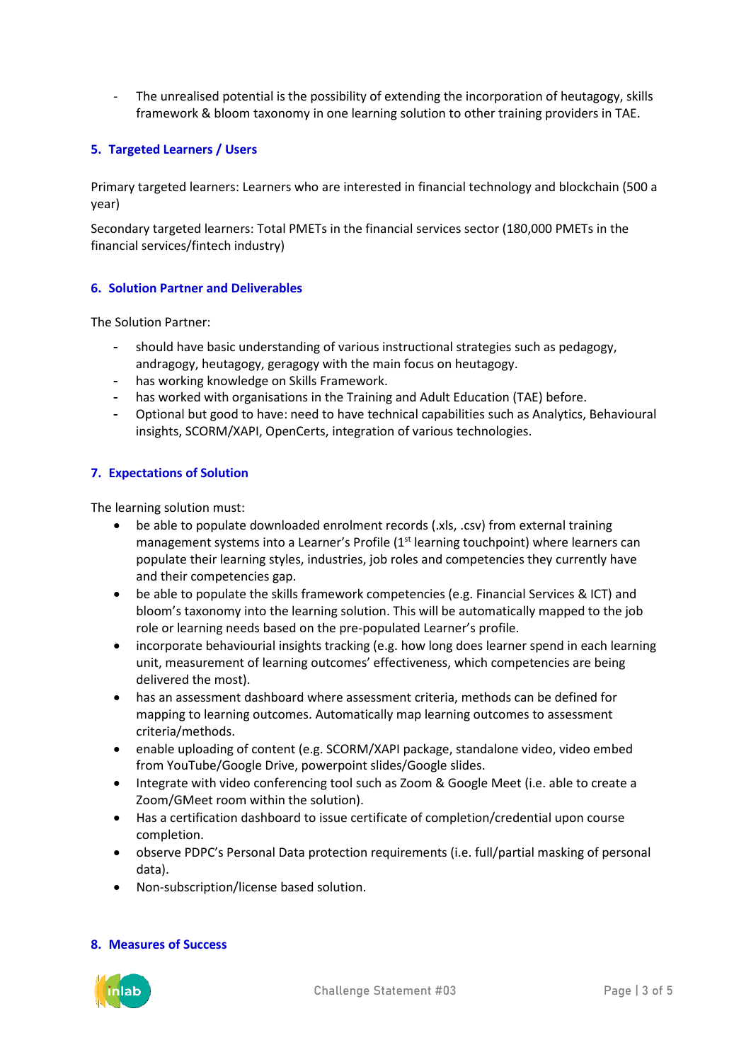- The unrealised potential is the possibility of extending the incorporation of heutagogy, skills framework & bloom taxonomy in one learning solution to other training providers in TAE.

# **5. Targeted Learners / Users**

Primary targeted learners: Learners who are interested in financial technology and blockchain (500 a year)

Secondary targeted learners: Total PMETs in the financial services sector (180,000 PMETs in the financial services/fintech industry)

# **6. Solution Partner and Deliverables**

The Solution Partner:

- should have basic understanding of various instructional strategies such as pedagogy, andragogy, heutagogy, geragogy with the main focus on heutagogy.
- has working knowledge on Skills Framework.
- has worked with organisations in the Training and Adult Education (TAE) before.
- Optional but good to have: need to have technical capabilities such as Analytics, Behavioural insights, SCORM/XAPI, OpenCerts, integration of various technologies.

# **7. Expectations of Solution**

The learning solution must:

- be able to populate downloaded enrolment records (.xls, .csv) from external training management systems into a Learner's Profile  $(1<sup>st</sup>$  learning touchpoint) where learners can populate their learning styles, industries, job roles and competencies they currently have and their competencies gap.
- be able to populate the skills framework competencies (e.g. Financial Services & ICT) and bloom's taxonomy into the learning solution. This will be automatically mapped to the job role or learning needs based on the pre-populated Learner's profile.
- incorporate behaviourial insights tracking (e.g. how long does learner spend in each learning unit, measurement of learning outcomes' effectiveness, which competencies are being delivered the most).
- has an assessment dashboard where assessment criteria, methods can be defined for mapping to learning outcomes. Automatically map learning outcomes to assessment criteria/methods.
- enable uploading of content (e.g. SCORM/XAPI package, standalone video, video embed from YouTube/Google Drive, powerpoint slides/Google slides.
- Integrate with video conferencing tool such as Zoom & Google Meet (i.e. able to create a Zoom/GMeet room within the solution).
- Has a certification dashboard to issue certificate of completion/credential upon course completion.
- observe PDPC's Personal Data protection requirements (i.e. full/partial masking of personal data).
- Non-subscription/license based solution.

#### **8. Measures of Success**

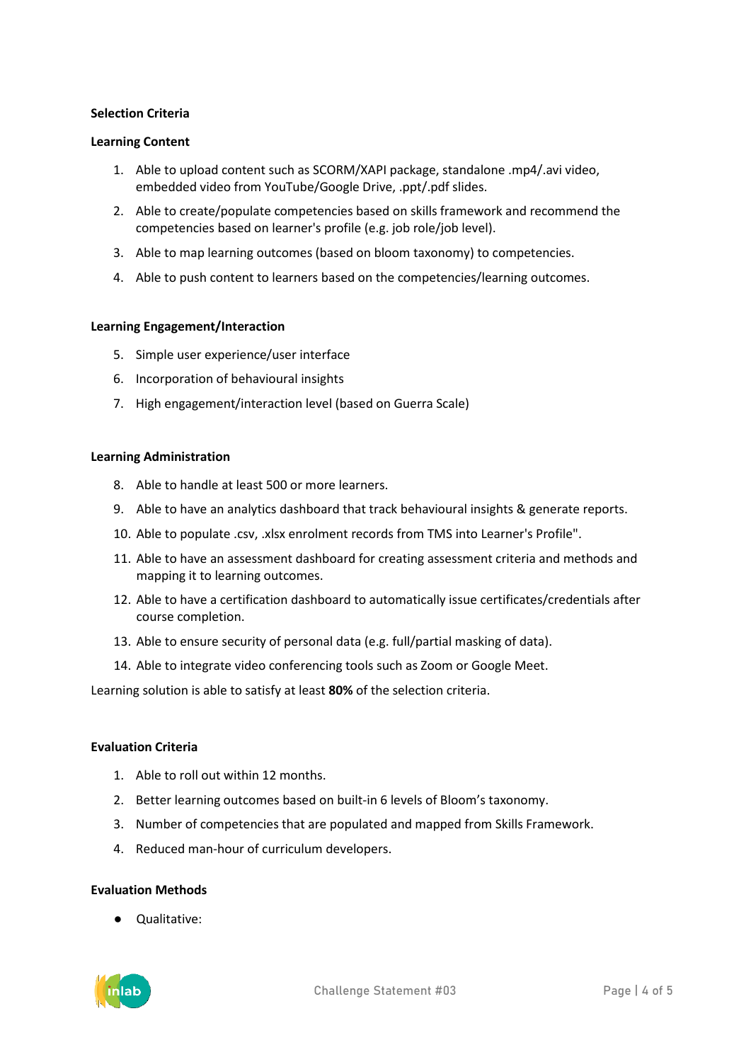# **Selection Criteria**

#### **Learning Content**

- 1. Able to upload content such as SCORM/XAPI package, standalone .mp4/.avi video, embedded video from YouTube/Google Drive, .ppt/.pdf slides.
- 2. Able to create/populate competencies based on skills framework and recommend the competencies based on learner's profile (e.g. job role/job level).
- 3. Able to map learning outcomes (based on bloom taxonomy) to competencies.
- 4. Able to push content to learners based on the competencies/learning outcomes.

#### **Learning Engagement/Interaction**

- 5. Simple user experience/user interface
- 6. Incorporation of behavioural insights
- 7. High engagement/interaction level (based on Guerra Scale)

#### **Learning Administration**

- 8. Able to handle at least 500 or more learners.
- 9. Able to have an analytics dashboard that track behavioural insights & generate reports.
- 10. Able to populate .csv, .xlsx enrolment records from TMS into Learner's Profile".
- 11. Able to have an assessment dashboard for creating assessment criteria and methods and mapping it to learning outcomes.
- 12. Able to have a certification dashboard to automatically issue certificates/credentials after course completion.
- 13. Able to ensure security of personal data (e.g. full/partial masking of data).
- 14. Able to integrate video conferencing tools such as Zoom or Google Meet.

Learning solution is able to satisfy at least **80%** of the selection criteria.

#### **Evaluation Criteria**

- 1. Able to roll out within 12 months.
- 2. Better learning outcomes based on built-in 6 levels of Bloom's taxonomy.
- 3. Number of competencies that are populated and mapped from Skills Framework.
- 4. Reduced man-hour of curriculum developers.

#### **Evaluation Methods**

● Qualitative: